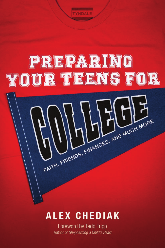

# PREPARING YOUR TEENS FOR FAITH, FRIENDS, FINANCES, AND MUCH MORE

# **ALEX CHEDIAK**

Foreword by Tedd Tripp Author of Shepherding a Child's Heart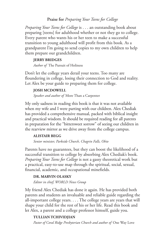#### **Praise for** *Preparing Your Teens for College*

*Preparing Your Teens for College* is . . . an outstanding book about preparing [teens] for adulthood whether or not they go to college. Every parent who wants his or her teen to make a successful transition to young adulthood will profit from this book. As a grandparent I'm going to send copies to my own children to help them prepare our grandchildren.

#### **Jerry Bridges**

*Author of* The Pursuit of Holiness

Don't let the college years derail your teens. Too many are floundering in college, losing their connection to God and reality. Let Alex be your guide to preparing them for college.

#### **Josh McDowell**

*Speaker and author of* More Than a Carpenter

My only sadness in reading this book is that it was not available when my wife and I were parting with our children. Alex Chediak has provided a comprehensive manual, packed with biblical insight and practical wisdom. It should be required reading for all parents in preparation for the "bittersweet sorrow" of seeing our children in the rearview mirror as we drive away from the college campus.

#### **Alistair Begg**

*Senior minister, Parkside Church, Chagrin Falls, Ohio*

Parents have no guarantees, but they can boost the likelihood of a successful transition to college by absorbing Alex Chediak's book. *Preparing Your Teens for College* is not a gassy theoretical work but a practical, easy-to-use map through the spiritual, social, sexual, financial, academic, and occupational minefields.

#### **Dr. Marvin Olasky**

*Editor in chief, WORLD News Group*

My friend Alex Chediak has done it again. He has provided both parents and students an invaluable and reliable guide regarding the all-important college years. . . . The college years are years that will shape your child for the rest of his or her life. Read this book and let Alex, a parent and a college professor himself, guide you.

#### **Tullian Tchividjian**

*Pastor of Coral Ridge Presbyterian Church and author of* One Way Love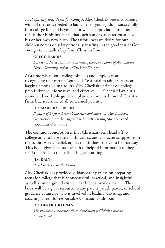In *Preparing Your Teens for College*, Alex Chediak presents parents with all the tools needed to launch their young adults successfully into college life and beyond. But what I appreciate most about this author is his insistence that each son or daughter must have his or her own new birth. The faithfulness we desire for our children comes only by personally trusting in the goodness of God enough to actually obey Jesus Christ as Lord.

#### **Gregg Harris**

*Director of Noble Institute, conference speaker, and father of Alex and Brett Harris (bestselling authors of* Do Hard Things*)*

At a time when both college officials and employers are recognizing that certain "soft skills" essential to adult success are lagging among young adults, Alex Chediak's primer on college prep is timely, informative, and effective. . . . Chediak lays out a sound and workable guidance plan, one oriented toward Christian faith, but accessible to all concerned parents.

#### **Dr. Mark Bauerlein**

*Professor of English, Emory University, and author of* The Dumbest Generation: How the Digital Age Stupefies Young Americans and Jeopardizes Our Future

The common conception is that Christian teens head off to college only to have their faith, values, and character stripped from them. But Alex Chediak argues that it doesn't have to be that way. This book gives parents a wealth of helpful information as they send their kids to the halls of higher learning.

#### **Jim Daly**

*President, Focus on the Family*

Alex Chediak has provided guidance for parents on preparing teens for college that is at once useful, practical, and insightful as well as undergirded with a clear biblical worldview. . . . This book will be a great resource to any parent, youth pastor, or school guidance counselor who is involved in leading, advising, and coaching a teen for responsible Christian adulthood.

#### **Dr. Derek J. Keenan**

*Vice president, Academic Affairs, Association of Christian Schools International*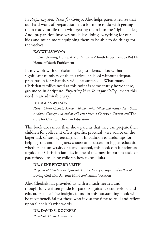In *Preparing Your Teens for College*, Alex helps parents realize that our hard work of preparation has a lot more to do with getting them ready for life than with getting them into the "right" college. And, preparation involves much less doing everything for our kids and much more equipping them to be able to do things for themselves.

#### **Kay Wills Wyma**

*Author,* Cleaning House: A Mom's Twelve-Month Experiment to Rid Her Home of Youth Entitlement

In my work with Christian college students, I know that significant numbers of them arrive at school without adequate preparation for what they will encounter. . . . What many Christian families need at this point is some sturdy horse sense, grounded in Scripture. *Preparing Your Teens for College* meets this need in an admirable way.

#### **Douglas Wilson**

*Pastor, Christ Church, Moscow, Idaho; senior fellow and trustee, New Saint Andrews College; and author of* Letter from a Christian Citizen *and* The Case for Classical Christian Education

This book does more than show parents that they can prepare their children for college. It offers specific, practical, wise advice on the larger task of raising teenagers. . . . In addition to useful tips for helping sons and daughters choose and succeed in higher education, whether at a university or a trade school, this book can function as a guide for Christian families in one of the most important tasks of parenthood: teaching children how to be adults.

#### **Dr. Gene Edward Veith**

*Professor of literature and provost, Patrick Henry College, and author of*  Loving God with All Your Mind *and* Family Vocation

Alex Chediak has provided us with a much-needed and thoughtfully written guide for parents, guidance counselors, and educators alike. The insights found in this outstanding book will be most beneficial for those who invest the time to read and reflect upon Chediak's wise words.

#### **Dr. David S. Dockery**

*President, Union University*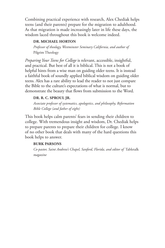Combining practical experience with research, Alex Chediak helps teens (and their parents) prepare for the migration to adulthood. As that migration is made increasingly later in life these days, the wisdom laced throughout this book is welcome indeed.

#### **Dr. Michael Horton**

*Professor of theology, Westminster Seminary California, and author of*  Pilgrim Theology

*Preparing Your Teens for College* is relevant, accessible, insightful, and practical. But best of all it is biblical. This is not a book of helpful hints from a wise man on guiding older teens. It is instead a faithful book of soundly applied biblical wisdom on guiding older teens. Alex has a rare ability to lead the reader to not just compare the Bible to the culture's expectations of what is normal, but to demonstrate the beauty that flows from submission to the Word.

#### **Dr. R. C. Sproul Jr.**

*Associate professor of systematics, apologetics, and philosophy, Reformation Bible College (and father of eight)*

This book helps calm parents' fears in sending their children to college. With tremendous insight and wisdom, Dr. Chediak helps to prepare parents to prepare their children for college. I know of no other book that deals with many of the hard questions this book helps to answer.

#### **Burk Parsons**

*Co-pastor, Saint Andrew's Chapel, Sanford, Florida, and editor of* Tabletalk *magazine*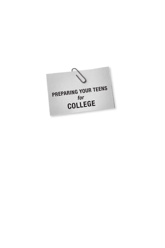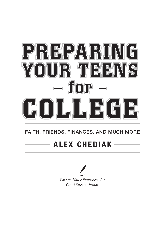# preparing YOUR TEENS<br>– for – OILILE GE

#### Faith, Friends, Finances, and Much More

# **A lex C hediak**

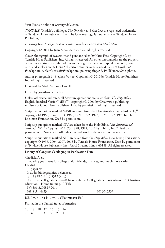Visit Tyndale online at www.tyndale.com.

*TYNDALE*, Tyndale's quill logo, *The One Year*, and *One Year* are registered trademarks of Tyndale House Publishers, Inc. The One Year logo is a trademark of Tyndale House Publishers, Inc.

*Preparing Your Teens for College: Faith, Friends, Finances, and Much More*

Copyright © 2014 by Juan Alexander Chediak. All rights reserved.

Cover photograph of sweatshirt and pennant taken by Katie Fore. Copyright © by Tyndale Houe Publishers, Inc. All rights reserved. All other photographs are the property of their respective copyright holders and all rights are reserved: spiral notebook, note card, and sticky note © Elena Schweitzer/Shutterstock; stacked paper © kyoshino/ iStockphoto; tablet © rvlsoft/iStockphoto; pointing finger © PhillDanze/iStockphoto.

Author photograph by Stephen Vosloo. Copyright © 2010 by Tyndale House Publishers, Inc. All rights reserved.

Designed by Mark Anthony Lane II

Edited by Jonathan Schindler

Unless otherwise indicated, all Scripture quotations are taken from *The Holy Bible*, English Standard Version® (ESV®), copyright © 2001 by Crossway, a publishing ministry of Good News Publishers. Used by permission. All rights reserved.

Scripture quotations marked NASB are taken from the New American Standard Bible,® copyright © 1960, 1962, 1963, 1968, 1971, 1972, 1973, 1975, 1977, 1995 by The Lockman Foundation. Used by permission.

Scripture quotations marked NIV are taken from the Holy Bible, *New International Version*,<sup>®</sup>  $\hat{N}IV$ .<sup>®</sup> Copyright © 1973, 1978, 1984, 2011 by Biblica, Inc.™ Used by permission of Zondervan. All rights reserved worldwide. www.zondervan.com.

Scripture quotations marked NLT are taken from the *Holy Bible*, New Living Translation, copyright © 1996, 2004, 2007, 2013 by Tyndale House Foundation. Used by permission of Tyndale House Publishers, Inc., Carol Stream, Illinois 60188. All rights reserved.

#### **Library of Congress Cataloging-in-Publication Data**

Chediak, Alex. Preparing your teens for college : faith, friends, finances, and much more / Alex Chediak. pages cm Includes bibliographical references. ISBN 978-1-4143-8312-5 (sc) 1. Christian college students—Religious life. 2. College student orientation. 3. Christian education—Home training. I. Title. BV4531.3.C4825 2014 248.8´3—dc23 2013045357

ISBN 978-1-4143-9790-0 (Westminster Ed.)

Printed in the United States of America

20 19 18 17 16 15 14 7 6 5 4 3 2 1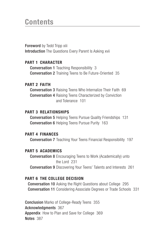## **Contents**

#### Foreword [by Tedd Tripp xiii](#page-11-0)

**Introduction** [The Questions Every Parent Is Asking xvii](#page-15-0)

#### **[Part 1 Character](#page-31-0)**

Conversation 1 [Teaching Responsibility 3](#page-33-0) Conversation 2 Training Teens to Be Future-Oriented 35

#### **Part 2 Faith**

Conversation 3 Raising Teens Who Internalize Their Faith 69 Conversation 4 Raising Teens Characterized by Conviction and Tolerance 101

#### **Part 3 Relationships**

**Conversation 5 Helping Teens Pursue Quality Friendships 131** Conversation 6 Helping Teens Pursue Purity 163

#### **Part 4 Finances**

Conversation 7 Teaching Your Teens Financial Responsibility 197

#### **Part 5 Academics**

**Conversation 8** Encouraging Teens to Work (Academically) unto the Lord 231 Conversation 9 Discovering Your Teens' Talents and Interests 261

#### **Part 6 The College Decision**

Conversation 10 Asking the Right Questions about College 295 Conversation 11 Considering Associate Degrees or Trade Schools 331

Conclusion Marks of College-Ready Teens 355 Acknowledgments 367 Appendix How to Plan and Save for College 369 Notes 387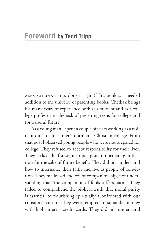<span id="page-11-0"></span>Alex Chediak has done it again! This book is a needed addition to the universe of parenting books. Chediak brings his many years of experience both as a student and as a college professor to the task of preparing teens for college and for a useful future.

As a young man I spent a couple of years working as a resident director for a men's dorm at a Christian college. From that post I observed young people who were not prepared for college. They refused to accept responsibility for their lives. They lacked the foresight to postpone immediate gratification for the sake of future benefit. They did not understand how to internalize their faith and live as people of conviction. They made bad choices of companionship, not understanding that "the companion of fools suffers harm." They failed to comprehend the biblical truth that moral purity is essential to flourishing spiritually. Confronted with our consumer culture, they were tempted to squander money with high-interest credit cards. They did not understand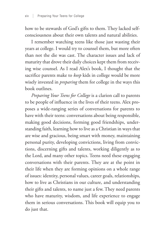how to be stewards of God's gifts to them. They lacked selfconsciousness about their own talents and natural abilities.

I remember watching teens like those just wasting their years at college. I would try to counsel them, but more often than not the die was cast. The character issues and lack of maturity that drove their daily choices kept them from receiving wise counsel. As I read Alex's book, I thought that the sacrifice parents make to *keep* kids in college would be more wisely invested in *preparing* them for college in the ways this book outlines.

*Preparing Your Teens for College* is a clarion call to parents to be people of influence in the lives of their teens. Alex proposes a wide-ranging series of conversations for parents to have with their teens: conversations about being responsible, making good decisions, forming good friendships, understanding faith, learning how to live as a Christian in ways that are wise and gracious, being smart with money, maintaining personal purity, developing convictions, living from convictions, discerning gifts and talents, working diligently as to the Lord, and many other topics. Teens need these engaging conversations with their parents. They are at the point in their life when they are forming opinions on a whole range of issues: identity, personal values, career goals, relationships, how to live as Christians in our culture, and understanding their gifts and talents, to name just a few. They need parents who have maturity, wisdom, and life experience to engage them in serious conversations. This book will equip you to do just that.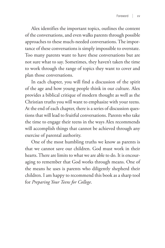Alex identifies the important topics, outlines the content of the conversations, and even walks parents through possible approaches to these much-needed conversations. The importance of these conversations is simply impossible to overstate. Too many parents want to have these conversations but are not sure what to say. Sometimes, they haven't taken the time to work through the range of topics they want to cover and plan those conversations.

In each chapter, you will find a discussion of the spirit of the age and how young people think in our culture. Alex provides a biblical critique of modern thought as well as the Christian truths you will want to emphasize with your teens. At the end of each chapter, there is a series of discussion questions that will lead to fruitful conversations. Parents who take the time to engage their teens in the ways Alex recommends will accomplish things that cannot be achieved through any exercise of parental authority.

One of the most humbling truths we know as parents is that we cannot save our children. God must work in their hearts. There are limits to what we are able to do. It is encouraging to remember that God works through means. One of the means he uses is parents who diligently shepherd their children. I am happy to recommend this book as a sharp tool for *Preparing Your Teens for College*.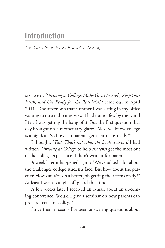## <span id="page-15-0"></span>**Introduction**

*The Questions Every Parent Is Asking*

My book *Thriving at College: Make Great Friends, Keep Your Faith, and Get Ready for the Real World* came out in April 2011. One afternoon that summer I was sitting in my office waiting to do a radio interview. I had done a few by then, and I felt I was getting the hang of it. But the first question that day brought on a momentary glaze: "Alex, we know college is a big deal. So how can parents get their teens ready?"

I thought, *Wait. That's not what the book is about!* I had written *Thriving at College* to help *students* get the most out of the college experience. I didn't write it for parents.

A week later it happened again: "We've talked a lot about the challenges college students face. But how about the parents? How can *they* do a better job getting their teens ready?" At least I wasn't caught off guard this time.

A few weeks later I received an e-mail about an upcoming conference. Would I give a seminar on how parents can prepare teens for college?

Since then, it seems I've been answering questions about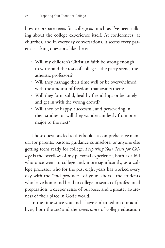how to prepare teens for college as much as I've been talking about the college experience itself. At conferences, at churches, and in everyday conversations, it seems every parent is asking questions like these:

- Will my children's Christian faith be strong enough to withstand the tests of college—the party scene, the atheistic professors?
- Will they manage their time well or be overwhelmed with the amount of freedom that awaits them?
- Will they form solid, healthy friendships or be lonely and get in with the wrong crowd?
- Will they be happy, successful, and persevering in their studies, or will they wander aimlessly from one major to the next?

Those questions led to this book—a comprehensive manual for parents, pastors, guidance counselors, or anyone else getting teens ready for college. *Preparing Your Teens for College* is the overflow of my personal experience, both as a kid who once went to college and, more significantly, as a college professor who for the past eight years has worked every day with the "end products" of your labors— the students who leave home and head to college in search of professional preparation, a deeper sense of purpose, and a greater awareness of their place in God's world.

In the time since you and I have embarked on our adult lives, both the *cost* and the *importance* of college education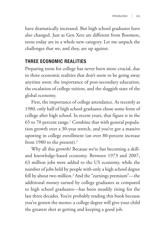have dramatically increased. But high school graduates have also changed. Just as Gen Xers are different from Boomers, teens today are in a whole new category. Let me unpack the challenges that we, and they, are up against.

#### **Three Economic Realities**

Preparing teens for college has never been more crucial, due to three economic realities that don't seem to be going away anytime soon: the importance of post-secondary education, the escalation of college tuition, and the sluggish state of the global economy.

First, the importance of college attendance. As recently as 1980, only half of high school graduates chose some form of college after high school. In recent years, that figure is in the  $65$  to  $70$  percent range.<sup>1</sup> Combine that with general population growth over a 30-year stretch, and you've got a massive upswing in college enrollment (an over 80-percent increase from 1980 to the present).2

Why all this growth? Because we're fast becoming a skilland knowledge-based economy. Between 1973 and 2007, 63 million jobs were added to the US economy, while the number of jobs held by people with only a high school degree fell by about two million.<sup>3</sup> And the "earnings premium"—the additional money earned by college graduates as compared to high school graduates— has been steadily rising for the last three decades. You're probably reading this book because you've gotten the memo: a college degree will give your child the greatest shot at getting and keeping a good job.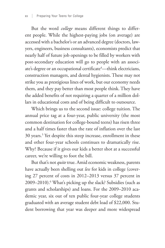But the word *college* means different things to different people. While the highest-paying jobs (on average) are accessed with a bachelor's or an advanced degree (doctors, lawyers, engineers, business consultants), economists predict that nearly half of future job openings to be filled by workers with post- secondary education will go to people with an associate's degree or an occupational certificate<sup>4</sup>—think electricians, construction managers, and dental hygienists. These may not strike you as prestigious lines of work, but our economy needs them, and they pay better than most people think. They have the added benefits of not requiring a quarter of a million dollars in educational costs and of being difficult to outsource.

Which brings us to the second issue: college tuition. The annual price tag at a four-year, public university (the most common destination for college-bound teens) has risen three and a half times faster than the rate of inflation over the last 30 years.<sup>5</sup> Yet despite this steep increase, enrollment in these and other four-year schools continues to dramatically rise. Why? Because if it gives our kids a better shot at a successful career, we're willing to foot the bill.

But that's not *quite* true. Amid economic weakness, parents have actually been shelling out *less* for kids in college (covering 27 percent of costs in 2012–2013 versus 37 percent in 2009–2010).<sup>6</sup> What's picking up the slack? Subsidies (such as grants and scholarships) and loans. For the 2009–2010 academic year, six out of ten public four-year college students graduated with an average student debt load of \$22,000. Student borrowing that year was deeper and more widespread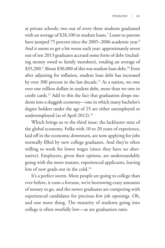at private schools: two out of every three students graduated with an average of \$28,100 in student loans.7 Loans to parents have jumped 75 percent since the 2005–2006 academic year.<sup>8</sup> And it seems to get a bit worse each year: approximately seven out of ten 2013 graduates accrued some form of debt (including money owed to family members), totaling an average of \$35,200.9 About \$30,000 of this was student loan debt.10 Even after adjusting for inflation, student loan debt has increased by over 300 percent in the last decade.<sup>11</sup> As a nation, we owe over one trillion dollars in student debt, more than we owe in credit cards.12 Add to this the fact that graduation drops students into a sluggish economy—one in which many bachelor's degree holders under the age of 25 are either unemployed or underemployed (as of April 2012).<sup>13</sup>

Which brings us to the third issue: the lackluster state of the global economy. Folks with 10 to 20 years of experience, laid off in the economic downturn, are now applying for jobs normally filled by new college graduates. And they're often willing to work for lower wages (since they have no alternative). Employers, given their options, are understandably going with the more mature, experienced applicants, leaving lots of new grads out in the cold.<sup>14</sup>

It's a perfect storm. More people are going to college than ever before, it costs a fortune, we're borrowing crazy amounts of money to go, and the newer graduates are competing with experienced candidates for precious few job openings. Oh, and one more thing. The maturity of students going into college is often woefully low—as are graduation rates.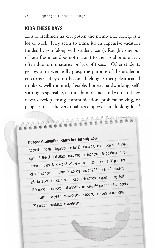#### **Kids These Days**

Lots of freshmen haven't gotten the memo that college is a lot of work. They seem to think it's an expensive vacation funded by you (along with student loans). Roughly one out of four freshmen does not make it to their sophomore year, often due to immaturity or lack of focus.15 Other students get by, but never really grasp the purpose of the academic enterprise—they don't become lifelong learners; clearheaded thinkers; well-rounded, flexible, honest, hardworking, selfstarting, responsible, mature, humble men and women. They never develop strong communication, problem-solving, or people skills—the very qualities employers are looking for.16

# **College Graduation Rates Are Terribly Low**

According to the Organization for Economic Cooperation and Development, the United States now has the highest college dropout rate in the industrialized world. While we send as many as 70 percen<sup>t</sup> of high school graduates to college, as of 2010 only 42 percent of 25- to 34-year-olds have a post–high school degree of any sort. At four-year colleges and universities, only 56 percent of students graduate in *six* years. At two-year schools, it's even worse: only <sup>29</sup> percent graduate in *three* years.<sup>17</sup>

cecession de la subducture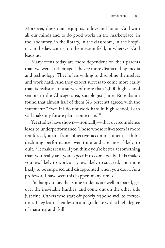Moreover, these traits equip us to love and honor God with all our minds and to do good works in the marketplace, in the laboratory, in the library, in the classroom, in the hospital, in the law courts, on the mission field, or wherever God leads us.

Many teens today are more dependent on their parents than we were at their age. They're more distracted by media and technology. They're less willing to discipline themselves and work hard. And they expect success to come more easily than is realistic. In a survey of more than 2,000 high school seniors in the Chicago area, sociologist James Rosenbaum found that almost half of them (46 percent) agreed with the statement: "Even if I do not work hard in high school, I can still make my future plans come true."18

Yet studies have shown—ironically—that overconfidence leads to underperformance. Those whose self-esteem is more reinforced, apart from objective accomplishment, exhibit declining performance over time and are most likely to quit.19 It makes sense. If you think you're better at something than you really are, you expect it to come easily. This makes you less likely to work at it, less likely to succeed, and more likely to be surprised and disappointed when you don't. As a professor, I have seen this happen many times.

I'm happy to say that some students are well prepared, get over the inevitable hurdles, and come out on the other side just fine. Others who start off poorly respond well to correction. They learn their lesson and graduate with a high degree of maturity and skill.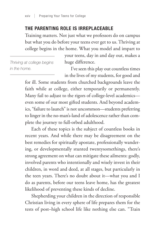#### **The Parenting Role Is Irreplaceable**

Training matters. Not just what we professors do on campus but what you do before your teens ever get to us. Thriving at college begins in the home. What you model and impart to

*Thriving at college begins in the home.*

your teens, day in and day out, makes a huge difference.

I've seen this play out countless times in the lives of my students, for good and

for ill. Some students from churched backgrounds leave the faith while at college, either temporarily or permanently. Many fail to adjust to the rigors of college-level academics even some of our most gifted students. And beyond academics, "failure to launch" is not uncommon—students preferring to linger in the no-man's-land of adolescence rather than complete the journey to full-orbed adulthood.

Each of these topics is the subject of countless books in recent years. And while there may be disagreement on the best remedies for spiritually apostate, professionally wandering, or developmentally stunted twentysomethings, there's strong agreement on what can mitigate these ailments: godly, involved parents who intentionally and wisely invest in their children, in word and deed, at all stages, but particularly in the teen years. There's no doubt about it—what you and I do as parents, before our teens leave home, has the greatest likelihood of preventing these kinds of decline.

Shepherding your children in the direction of responsible Christian living in every sphere of life prepares them for the tests of post-high school life like nothing else can. "Train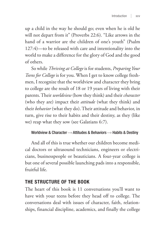up a child in the way he should go; even when he is old he will not depart from it" (Proverbs 22:6). "Like arrows in the hand of a warrior are the children of one's youth" (Psalm 127:4)—to be released with care and intentionality into the world to make a difference for the glory of God and the good of others.

So while *Thriving at College* is for students, *Preparing Your Teens for College* is for you. When I get to know college freshmen, I recognize that the worldview and character they bring to college are the result of 18 or 19 years of living with their parents. Their *worldview* (how they think) and their *character* (who they are) impact their *attitude* (what they think) and their *behavior* (what they do). Their attitude and behavior, in turn, give rise to their habits and their destiny, as they (like we) reap what they sow (see Galatians 6:7).

#### Worldview & Character  $\rightarrow$  Attitudes & Behaviors  $\rightarrow$  Habits & Destiny

And all of this is true whether our children become medical doctors or ultrasound technicians, engineers or electricians, businesspeople or beauticians. A four- year college is but one of several possible launching pads into a responsible, fruitful life.

#### **The Structure of the Book**

The heart of this book is 11 conversations you'll want to have with your teens before they head off to college. The conversations deal with issues of character, faith, relationships, financial discipline, academics, and finally the college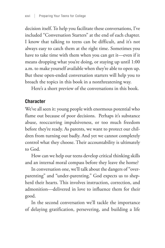decision itself. To help you facilitate these conversations, I've included "Conversation Starters" at the end of each chapter. I know that talking to teens can be difficult, and it's not always easy to catch them at the right time. Sometimes you have to take time with them when you can get it—even if it means dropping what you're doing, or staying up until 1:00 a.m. to make yourself available when they're able to open up. But these open-ended conversation starters will help you to broach the topics in this book in a nonthreatening way.

Here's a short preview of the conversations in this book.

#### **Character**

We've all seen it: young people with enormous potential who flame out because of poor decisions. Perhaps it's substance abuse, reoccurring impulsiveness, or too much freedom before they're ready. As parents, we want to protect our children from turning out badly. And yet we cannot completely control what they choose. Their accountability is ultimately to God.

How can we help our teens develop critical thinking skills and an internal moral compass before they leave the home?

In conversation one, we'll talk about the dangers of "overparenting" and "under-parenting." God expects us to shepherd their hearts. This involves instruction, correction, and admonition—delivered in love to influence them for their good.

In the second conversation we'll tackle the importance of delaying gratification, persevering, and building a life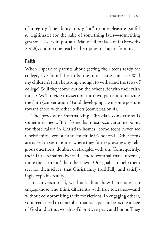of integrity. The ability to say "no" to one pleasure (sinful *or* legitimate) for the sake of something later— something *greater*—is very important. Many fail for lack of it (Proverbs 25:28), and no one reaches their potential apart from it.

#### **Faith**

When I speak to parents about getting their teens ready for college, I've found this to be the most acute concern: Will my children's faith be strong enough to withstand the tests of college? Will they come out on the other side with their faith intact? We'll divide this section into two parts: internalizing the faith (conversation 3) and developing a winsome posture toward those with other beliefs (conversation 4).

The process of internalizing Christian convictions is sometimes messy. But it's one that must occur, at some point, for those raised in Christian homes. Some teens never see Christianity lived out and conclude it's not real. Other teens are raised in stern homes where they fear expressing any religious questions, doubts, or struggles with sin. Consequently, their faith remains dwarfed— more external than internal, more their parents' than their own. Our goal is to help them see, for themselves, that Christianity truthfully and satisfyingly explains reality.

In conversation 4, we'll talk about how Christians can engage those who think differently with true tolerance—and without compromising their convictions. In engaging others, your teens need to remember that each person bears the image of God and is thus worthy of dignity, respect, and honor. They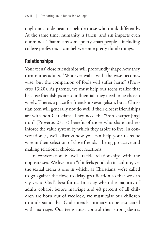ought not to demean or belittle those who think differently. At the same time, humanity is fallen, and sin impacts even our minds. That means some pretty smart people—including college professors—can believe some pretty dumb things.

#### **Relationships**

Your teens' close friendships will profoundly shape how they turn out as adults. "Whoever walks with the wise becomes wise, but the companion of fools will suffer harm" (Proverbs 13:20). As parents, we must help our teens realize that because friendships are so influential, they need to be chosen wisely. There's a place for friendship evangelism, but a Christian teen will generally not do well if their closest friendships are with non-Christians. They need the "iron sharpen[ing] iron" (Proverbs 27:17) benefit of those who share and reinforce the value system by which they aspire to live. In conversation 5, we'll discuss how you can help your teens be wise in their selection of close friends—being proactive and making relational choices, not reactions.

In conversation 6, we'll tackle relationships with the opposite sex. We live in an "if it feels good, do it" culture, yet the sexual arena is one in which, as Christians, we're called to go against the flow, to delay gratification so that we can say yes to God's best for us. In a day when the majority of adults cohabit before marriage and 40 percent of all children are born out of wedlock, we must raise our children to understand that God intends intimacy to be associated with marriage. Our teens must control their strong desires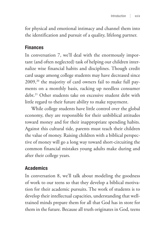for physical and emotional intimacy and channel them into the identification and pursuit of a quality, lifelong partner.

#### **Finances**

In conversation 7, we'll deal with the enormously important (and often neglected) task of helping our children internalize wise financial habits and disciplines. Though credit card usage among college students may have decreased since  $2009$ ,<sup>20</sup> the majority of card owners fail to make full payments on a monthly basis, racking up needless consumer debt.<sup>21</sup> Other students take on excessive student debt with little regard to their future ability to make repayment.

While college students have little control over the global economy, they are responsible for their unbiblical attitudes toward money and for their inappropriate spending habits. Against this cultural tide, parents must teach their children the value of money. Raising children with a biblical perspective of money will go a long way toward short-circuiting the common financial mistakes young adults make during and after their college years.

#### **Academics**

In conversation 8, we'll talk about modeling the goodness of work to our teens so that they develop a biblical motivation for their academic pursuits. The work of students is to develop their intellectual capacities, understanding that welltrained minds prepare them for all that God has in store for them in the future. Because all truth originates in God, teens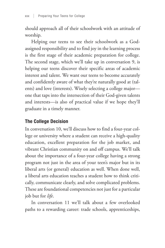should approach all of their schoolwork with an attitude of worship.

Helping our teens to see their schoolwork as a Godassigned responsibility and to find joy in the learning process is the first stage of their academic preparation for college. The second stage, which we'll take up in conversation 9, is helping our teens discover their specific areas of academic interest and talent. We want our teens to become accurately and confidently aware of what they're naturally good at (talents) and love (interests). Wisely selecting a college major one that taps into the intersection of their God-given talents and interests— is also of practical value if we hope they'll graduate in a timely manner.

#### **The College Decision**

In conversation 10, we'll discuss how to find a four-year college or university where a student can receive a high-quality education, excellent preparation for the job market, and vibrant Christian community on and off campus. We'll talk about the importance of a four-year college having a strong program not just in the area of your teen's major but in its liberal arts (or general) education as well. When done well, a liberal arts education teaches a student how to think critically, communicate clearly, and solve complicated problems. These are foundational competencies not just for a particular job but for *life*.

In conversation 11 we'll talk about a few overlooked paths to a rewarding career: trade schools, apprenticeships,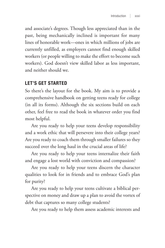and associate's degrees. Though less appreciated than in the past, being mechanically inclined is important for many lines of honorable work—ones in which millions of jobs are currently unfilled, as employers cannot find enough skilled workers (or people willing to make the effort to become such workers). God doesn't view skilled labor as less important, and neither should we.

#### **Let's Get Started**

So there's the layout for the book. My aim is to provide a comprehensive handbook on getting teens ready for college (in all its forms). Although the six sections build on each other, feel free to read the book in whatever order you find most helpful.

Are you ready to help your teens develop responsibility and a work ethic that will persevere into their college years? Are you ready to coach them through smaller failures so they succeed over the long haul in the crucial areas of life?

Are you ready to help your teens internalize their faith and engage a lost world with conviction and compassion?

Are you ready to help your teens discern the character qualities to look for in friends and to embrace God's plan for purity?

Are you ready to help your teens cultivate a biblical perspective on money and draw up a plan to avoid the vortex of debt that captures so many college students?

Are you ready to help them assess academic interests and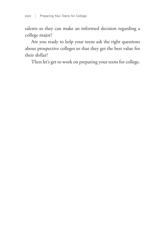talents so they can make an informed decision regarding a college major?

Are you ready to help your teens ask the right questions about prospective colleges so that they get the best value for their dollar?

Then let's get to work on preparing your teens for college.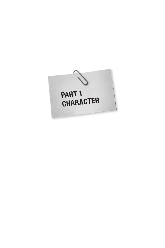<span id="page-31-0"></span>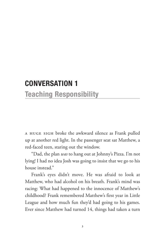# <span id="page-33-0"></span>**Conversation 1 Teaching Responsibility**

A huge sigh broke the awkward silence as Frank pulled up at another red light. In the passenger seat sat Matthew, a red-faced teen, staring out the window.

"Dad, the plan *was* to hang out at Johnny's Pizza. I'm not lying! I had no idea Josh was going to insist that we go to his house instead."

Frank's eyes didn't move. He was afraid to look at Matthew, who had alcohol on his breath. Frank's mind was racing: What had happened to the innocence of Matthew's childhood? Frank remembered Matthew's first year in Little League and how much fun they'd had going to his games. Ever since Matthew had turned 14, things had taken a turn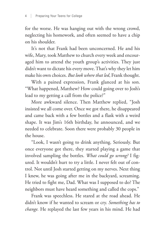for the worse. He was hanging out with the wrong crowd, neglecting his homework, and often seemed to have a chip on his shoulder.

It's not that Frank had been unconcerned. He and his wife, Mary, took Matthew to church every week and encouraged him to attend the youth group's activities. They just didn't want to dictate his every move. That's why they let him make his own choices. *But look where that led*, Frank thought.

With a pained expression, Frank glanced at his son. "What happened, Matthew? How could going over to Josh's lead to my getting a call from the police?"

More awkward silence. Then Matthew replied, "Josh insisted we all come over. Once we got there, he disappeared and came back with a few bottles and a flask with a weird shape. It was Jim's 16th birthday, he announced, and we needed to celebrate. Soon there were probably 30 people in the house.

"Look, I wasn't going to drink anything. Seriously. But once everyone got there, they started playing a game that involved sampling the bottles. *What could go wrong?* I figured. It wouldn't hurt to try a little. I never felt out of control. Not until Josh started getting on my nerves. Next thing I knew, he was going after me in the backyard, screaming. He tried to fight me, Dad. What was I supposed to do? The neighbors must have heard something and called the cops."

Frank was speechless. He stared at the road ahead. He didn't know if he wanted to scream or cry. *Something has to change.* He replayed the last few years in his mind. He had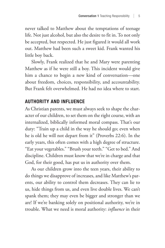never talked to Matthew about the temptations of teenage life. Not just alcohol, but also the desire to fit in. To not only be accepted, but respected. He just figured it would all work out. Matthew had been such a sweet kid. Frank wanted his little boy back.

Slowly, Frank realized that he and Mary were parenting Matthew as if he were still a boy. This incident would give him a chance to begin a new kind of conversation-one about freedom, choices, responsibility, and accountability. But Frank felt overwhelmed. He had no idea where to start.

#### **Authority and Influence**

As Christian parents, we must always seek to shape the character of our children, to set them on the right course, with an internalized, biblically informed moral compass. That's our duty: "Train up a child in the way he should go; even when he is old he will not depart from it" (Proverbs 22:6). In the early years, this often comes with a high degree of structure. "Eat your vegetables." "Brush your teeth." "Get to bed." And discipline. Children must know that we're in charge and that God, for their good, has put us in authority over them.

As our children grow into the teen years, their ability to do things we disapprove of increases, and like Matthew's parents, our ability to control them decreases. They can lie to us, hide things from us, and even live double lives. We can't spank them; they may even be bigger and stronger than we are! If we're banking solely on positional authority, we're in trouble. What we need is moral authority: *influence* in their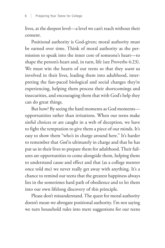lives, at the deepest level—a level we can't reach without their consent.

Positional authority is God-given; moral authority must be earned over time. Think of moral authority as the permission to speak into the inner core of someone's heart—to shape the person's heart and, in turn, life (see Proverbs 4:23). We must win the hearts of our teens so that they *want* us involved in their lives, leading them into adulthood, interpreting the fast-paced biological and social changes they're experiencing, helping them process their shortcomings and insecurities, and encouraging them that with God's help they can do great things.

But how? By seeing the hard moments as God moments opportunities rather than irritations. When our teens make sinful choices or are caught in a web of deception, we have to fight the temptation to give them a piece of our minds. It's easy to show them "who's in charge around here." It's harder to remember that *God* is ultimately in charge and that he has put us in their lives to prepare them for adulthood. Their failures are opportunities to come alongside them, helping them to understand cause and effect and that (as a college mentor once told me) we never really get away with anything. It's a chance to remind our teens that the greatest happiness always lies in the sometimes hard path of obedience and to let them into our own lifelong discovery of this principle.

Please don't misunderstand. The quest for moral authority doesn't mean we abrogate positional authority. I'm not saying we turn household rules into mere suggestions for our teens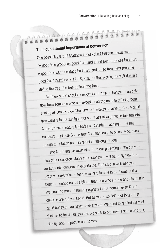000000

# **The Foundational Importance of Conversion**

dédédédéd

One possibility is that Matthew is not yet a Christian. Jesus said, "A good tree produces good fruit, and a bad tree produces bad fruit. A good tree can't produce bad fruit, and a bad tree can't produce good fruit" (Matthew 7:17-18, NLT). In other words, the fruit doesn't define the tree; the tree defines the fruit.

Matthew's dad should consider that Christian behavior can only flow from someone who has experienced the miracle of being born again (see John 3:3-6). The new birth makes us alive to God. A dead tree withers in the sunlight, but one that's alive grows in the sunlight.

A non-Christian naturally chafes at Christian teachings—he has no desire to please God. A true Christian longs to please God, even though temptation and sin remain a lifelong struggle.

The first thing we must aim for in our parenting is the conversion of our children. Godly character traits will naturally flow from an authentic conversion experience. That said, a well-behaved, orderly, non-Christian teen is more tolerable in the home and a better influence on his siblings than one who is rude and disorderly. We can and must maintain propriety in our homes, even if our children are not yet saved. But as we do so, let's not forget that good behavior can never save anyone. We need to remind them of their need for Jesus even as we seek to preserve a sense of order, dignity, and respect in our homes.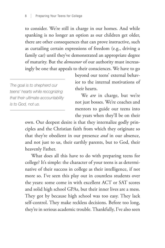to consider. We're still in charge in our homes. And while spanking is no longer an option as our children get older, there are other consequences that can prove instructive, such as curtailing certain expressions of freedom (e.g., driving a family car) until they've demonstrated an appropriate degree of maturity. But the *demeanor* of our authority must increasingly be one that appeals to their consciences. We have to go

*The goal is to shepherd our teens' hearts while recognizing that their ultimate accountability is to God, not us.*

beyond our teens' external behavior to the internal motivations of their hearts.

We *are* in charge, but we're not just bosses. We're coaches and mentors to guide our teens into the years when they'll be on their

own. Our deepest desire is that they internalize godly principles and the Christian faith from which they originate so that they're obedient in our presence *and* in our absence, and not just to us, their earthly parents, but to God, their heavenly Father.

What does all this have to do with preparing teens for college? It's simple: the character of your teens is as determinative of their success in college as their intelligence, if not more so. I've seen this play out in countless students over the years: some come in with excellent ACT or SAT scores and solid high school GPAs, but their inner lives are a mess. They got by because high school was too easy. They lack self-control. They make reckless decisions. Before too long, they're in serious academic trouble. Thankfully, I've also seen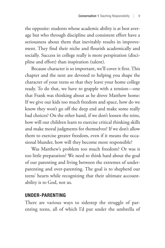the opposite: students whose academic ability is at best average but who through discipline and consistent effort have a seriousness about them that inevitably results in improvement. They find their niche and flourish academically and socially. Success in college really is more perspiration (discipline and effort) than inspiration (talent).

Because character is so important, we'll cover it first. This chapter and the next are devoted to helping you shape the character of your teens so that they leave your home college ready. To do that, we have to grapple with a tension—one that Frank was thinking about as he drove Matthew home: If we give our kids too much freedom and space, how do we know they won't go off the deep end and make some really bad choices? On the other hand, if we don't loosen the reins, how will our children learn to exercise critical thinking skills and make moral judgments for themselves? If we don't allow them to exercise greater freedom, even if it means the occasional blunder, how will they become more responsible?

Was Matthew's problem too much freedom? Or was it too little preparation? We need to think hard about the goal of our parenting and living between the extremes of underparenting and over-parenting. The goal is to shepherd our teens' hearts while recognizing that their ultimate accountability is to God, not us.

#### **Under-Parenting**

There are various ways to sidestep the struggle of parenting teens, all of which I'd put under the umbrella of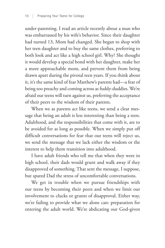under-parenting. I read an article recently about a man who was embarrassed by his wife's behavior. Since their daughter had turned 13, Mom had changed. She began to shop with her teen daughter and to buy the same clothes, preferring to both look and act like a high school girl. Why? She thought it would develop a special bond with her daughter, make her a more approachable mom, and prevent them from being drawn apart during the pivotal teen years. If you think about it, it's the same kind of fear Matthew's parents had—a fear of being too preachy and coming across as fuddy-duddies. We 're afraid our teens will turn against us, preferring the acceptance of their peers to the wisdom of their parents.

When we as parents act like teens, we send a clear message that being an adult is less interesting than being a teen. Adulthood, and the responsibilities that come with it, are to be avoided for as long as possible. When we simply put off difficult conversations for fear that our teens will reject us, we send the message that we lack either the wisdom or the interest to help them transition into adulthood.

I have adult friends who tell me that when they were in high school, their dads would grunt and walk away if they disapproved of something. That sent the message, I suppose, but spared Dad the stress of uncomfortable conversations.

We get in trouble when we pursue friendships with our teens by becoming their peers and when we limit our involvement to clucks or grunts of disapproval. Either way, we're failing to provide what we alone can: preparation for entering the adult world. We're abdicating our God-given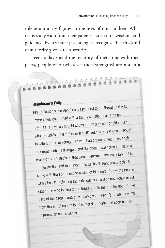role as authority figures in the lives of our children. What teens really want from their parents is structure, wisdom, and guidance. Even secular psychologists recognize that this kind of authority gives a teen security.

Teens today spend the majority of their time with their peers, people who (whatever their strengths) are not in a

elle celle de le le de le de le bobbbe

#### **Rehoboam's Folly**

King Solomon's son Rehoboam ascended to the throne and was immediately confronted with a thorny situation (see 1 Kings 12:1-11). He wisely sought counsel from a cluster of older men who had advised his father over a 40-year reign. He also checked in with a group of young men who had grown up with him. Their recommendations diverged, and Rehoboam was forced to issue a make-or-break decision that would determine the trajectory of his administration and the nation of Israel itself. Rehoboam foolishly sided with the ego-boosting advice of his peers ("show the people who's boss!"), rejecting the judicious, seasoned perspective of the older men who looked to the future and to the greater good ("take care of the people, and they'll serve you forever"). It was downhill from there. Rehoboam lost his moral authority and soon had an insurrection on his hands.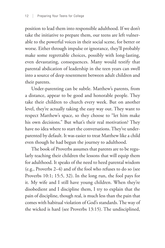position to lead them into responsible adulthood. If we don't take the initiative to prepare them, our teens are left vulnerable to the powerful voices in their social scene, for better or worse. Either through impulse or ignorance, they'll probably make some regrettable choices, possibly with long-lasting, even devastating, consequences. Many would testify that parental abdication of leadership in the teen years can swell into a source of deep resentment between adult children and their parents.

Under-parenting can be subtle. Matthew's parents, from a distance, appear to be good and honorable people. They take their children to church every week. But on another level, they're actually taking the easy way out. They want to respect Matthew's space, so they choose to "let him make his own decisions." But what's their real motivation? They have no idea where to start the conversations. They've underparented by default. It was easier to treat Matthew like a child even though he had begun the journey to adulthood.

The book of Proverbs assumes that parents are to be regularly teaching their children the lessons that will equip them for adulthood. It speaks of the need to heed parental wisdom (e.g., Proverbs 2–4) and of the fool who refuses to do so (see Proverbs 10:1; 15:5, 32). In the long run, the fool pays for it. My wife and I still have young children. When they're disobedient and I discipline them, I try to explain that the pain of discipline, though real, is much less than the pain that comes with habitual violation of God's standards. The way of the wicked is hard (see Proverbs 13:15). The undisciplined,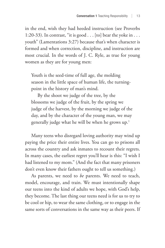in the end, wish they had heeded instruction (see Proverbs 1:20-33). In contrast, "it is good  $\ldots$  [to] bear the yoke in  $\ldots$ youth" (Lamentations 3:27) because that's when character is formed and when correction, discipline, and instruction are most crucial. In the words of J. C. Ryle, as true for young women as they are for young men:

Youth is the seed-time of full age, the molding season in the little space of human life, the turningpoint in the history of man's mind.

By the shoot we judge of the tree, by the blossoms we judge of the fruit, by the spring we judge of the harvest, by the morning we judge of the day, and by the character of the young man, we may generally judge what he will be when he grows up.1

Many teens who disregard loving authority may wind up paying the price their entire lives. You can go to prisons all across the country and ask inmates to recount their regrets. In many cases, the earliest regret you'll hear is this: "I wish I had listened to my mom." (And the fact that many prisoners don't even know their fathers ought to tell us something.)

As parents, we need to *be* parents. We need to teach, model, encourage, and train. We must intentionally shape our teens into the kind of adults we hope, with God's help, they become. The last thing our teens need is for us to try to be cool or hip, to wear the same clothing, or to engage in the same sorts of conversations in the same way as their peers. If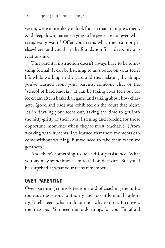we do, we're more likely to look foolish than to impress them. And deep down, parents trying to be peers are not even what teens really want.2 Offer your teens what they cannot get elsewhere, and you'll lay the foundation for a deep, lifelong relationship.

This parental instruction doesn't always have to be something formal. It can be listening to an update on your teen's life while working in the yard and then relating the things you've learned from your parents, someone else, or the "school of hard knocks." It can be taking your teen out for ice cream after a basketball game and talking about how character (good and bad) was exhibited on the court that night. It's in drawing your teens out, taking the time to get into the nitty-gritty of their lives, listening and looking for those opportune moments when they're most teachable. (From working with students, I've learned that these moments can come without warning. But we need to take them when we get them.)

And there's something to be said for persistence. What you say may sometimes seem to fall on deaf ears. But you'll be surprised at what your teens remember.

#### **Over-Parenting**

Over-parenting controls teens instead of coaching them. It's too much positional authority and too little moral authority. It tells teens what to do but not why to do it. It conveys the message, "You need me to do things for you. I'm afraid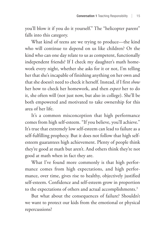you'll blow it if you do it yourself." The "helicopter parent" falls into this category.

What kind of teens are we trying to produce—the kind who will continue to depend on us like children? Or the kind who can one day relate to us as competent, functionally independent friends? If I check my daughter's math homework every night, whether she asks for it or not, I'm telling her that she's incapable of finishing anything on her own and that she doesn't need to check it herself. Instead, if I first *show* her how to check her homework, and then *expect* her to do it, she often will (not just now, but also in college). She'll be both empowered and motivated to take ownership for this area of her life.

It's a common misconception that high performance comes from high self-esteem. "If you believe, you'll achieve." It's true that extremely low self-esteem can lead to failure as a self-fulfilling prophecy. But it does not follow that high selfesteem guarantees high achievement. Plenty of people think they're good at math but aren't. And others think they're not good at math when in fact they are.

What I've found more commonly is that high performance comes from high expectations, and high performance, over time, gives rise to healthy, objectively justified self-esteem. Confidence and self-esteem grow in proportion to the expectations of others and actual accomplishments.<sup>3</sup>

But what about the consequences of failure? Shouldn't we want to protect our kids from the emotional or physical repercussions?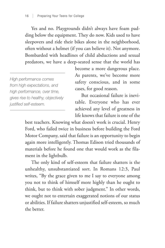Yes and no. Playgrounds didn't always have foam padding below the equipment. They do now. Kids used to have sleepovers and ride their bikes alone in the neighborhood, often without a helmet (if you can believe it). Not anymore. Bombarded with headlines of child abductions and sexual predators, we have a deep- seated sense that the world has

*High performance comes from high expectations, and high performance, over time, gives rise to healthy, objectively justified self-esteem.*

become a more dangerous place. As parents, we've become more safety conscious, and in some cases, for good reason.

But occasional failure is inevitable. Everyone who has ever achieved any level of greatness in life knows that failure is one of the

best teachers. Knowing what doesn't work is crucial. Henry Ford, who failed twice in business before building the Ford Motor Company, said that failure is an opportunity to begin again more intelligently. Thomas Edison tried thousands of materials before he found one that would work as the filament in the lightbulb.

The only kind of self-esteem that failure shatters is the unhealthy, unsubstantiated sort. In Romans 12:3, Paul writes, "By the grace given to me I say to everyone among you not to think of himself more highly than he ought to think, but to think with sober judgment." In other words, we ought not to entertain exaggerated notions of our status or abilities. If failure shatters unjustified self-esteem, so much the better.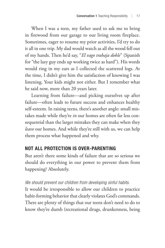When I was a teen, my father used to ask me to bring in firewood from our garage to our living room fireplace. Sometimes, eager to resume my prior activities, I'd try to do it all in one trip. My dad would watch as all the wood fell out of my hands. Then he'd say, "*El vago trabaja doble*" (Spanish for "the lazy guy ends up working twice as hard"). His words would ring in my ears as I collected the scattered logs. At the time, I didn't give him the satisfaction of knowing I was listening. Your kids might not either. But I remember what he said now, more than 20 years later.

Learning from failure— and picking ourselves up after failure—often leads to future success and enhances healthy self-esteem. In raising teens, there's another angle: small mistakes made while they're *in* our homes are often far less consequential than the larger mistakes they can make when they *leave* our homes. And while they're still with us, we can help them process what happened and why.

#### **Not All Protection Is Over-Parenting**

But aren't there some kinds of failure that are so serious we should do everything in our power to prevent them from happening? Absolutely.

#### *We should prevent our children from developing sinful habits.*

It would be irresponsible to allow our children to practice habit-forming behavior that clearly violates God's commands. There are plenty of things that our teens don't need to do to know they're dumb (recreational drugs, drunkenness, being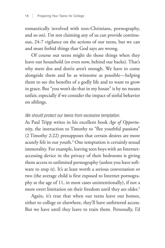romantically involved with non-Christians, pornography, and so on). I'm not claiming any of us can provide continuous, 24-7 vigilance on the actions of our teens, but we can and must forbid things that God says are wrong.

Of course our teens might do those things when they leave our household (or even now, behind our backs). That's why mere dos and don'ts aren't enough. We have to come alongside them and be as winsome as possible— helping them to see the benefits of a godly life and to want to grow in grace. But "you won't do that in my house" is by no means unfair, especially if we consider the impact of sinful behavior on siblings.

#### *We should protect our teens from excessive temptation.*

As Paul Tripp writes in his excellent book *Age of Opportunity*, the instruction to Timothy to "flee youthful passions" (2 Timothy 2:22) presupposes that certain desires are more acutely felt in our youth.4 One temptation is certainly sexual immorality. For example, leaving teen boys with an Internetaccessing device in the privacy of their bedrooms is giving them access to unlimited pornography (unless you have software to stop it). It's at least worth a serious conversation or two (the average child is first exposed to Internet pornography at the age of 11, in most cases unintentionally), if not a more overt limitation on their freedom until they are older.<sup>5</sup>

Again, it's true that when our teens leave our homes, either to college or elsewhere, they'll have unfettered access. But we have until they leave to train them. Personally, I'd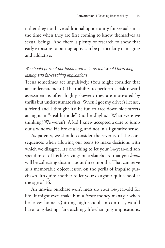rather they not have additional opportunity for sexual sin at the time when they are first coming to know themselves as sexual beings. And there is plenty of research to show that early exposure to pornography can be particularly damaging and addictive.

#### *We should prevent our teens from failures that would have longlasting and far-reaching implications.*

Teens sometimes act impulsively. (You might consider that an understatement.) Their ability to perform a risk-reward assessment is often highly skewed: they are motivated by thrills but underestimate risks. When I got my driver's license, a friend and I thought it'd be fun to race down side streets at night in "stealth mode" (no headlights). What were we thinking? We weren't. A kid I knew accepted a dare to jump out a window. He broke a leg, and not in a figurative sense.

As parents, we should consider the severity of the consequences when allowing our teens to make decisions with which we disagree. It's one thing to let your 14-year-old son spend most of his life savings on a skateboard that you *know* will be collecting dust in about three months. That can serve as a memorable object lesson on the perils of impulse purchases. It's quite another to let your daughter quit school at the age of 16.

An unwise purchase won't mess up your 14-year-old for life. It might even make him a *better* money manager when he leaves home. Quitting high school, in contrast, would have long-lasting, far-reaching, life-changing implications,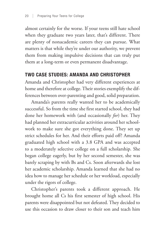almost certainly for the worse. If your teens still hate school when they graduate two years later, that's different. There are plenty of nonacademic careers they can pursue. What matters is that while they're under our authority, we prevent them from making impulsive decisions that can truly put them at a long-term or even permanent disadvantage.

#### **Two Case Studies: Amanda and Christopher**

Amanda and Christopher had very different experiences at home and therefore at college. Their stories exemplify the differences between over-parenting and good, solid preparation.

Amanda's parents really wanted her to be academically successful. So from the time she first started school, they had done her homework with (and occasionally *for*) her. They had planned her extracurricular activities around her schoolwork to make sure she got everything done. They set up strict schedules for her. And their efforts paid off! Amanda graduated high school with a 3.8 GPA and was accepted to a moderately selective college on a full scholarship. She began college eagerly, but by her second semester, she was barely scraping by with Bs and Cs. Soon afterwards she lost her academic scholarship. Amanda learned that she had no idea how to manage her schedule or her workload, especially under the rigors of college.

Christopher's parents took a different approach. He brought home all Cs his first semester of high school. His parents were disappointed but not defeated. They decided to use this occasion to draw closer to their son and teach him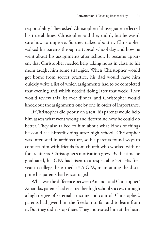responsibility. They asked Christopher if those grades reflected his true abilities. Christopher said they didn't, but he wasn't sure how to improve. So they talked about it. Christopher walked his parents through a typical school day and how he went about his assignments after school. It became apparent that Christopher needed help taking notes in class, so his mom taught him some strategies. When Christopher would get home from soccer practice, his dad would have him quickly write a list of which assignments had to be completed that evening and which needed doing later that week. They would review this list over dinner, and Christopher would knock out the assignments one by one in order of importance.

If Christopher did poorly on a test, his parents would help him assess what went wrong and determine how he could do better. They also talked to him about what kinds of things he could see himself doing after high school. Christopher was interested in architecture, so his parents found ways to connect him with friends from church who worked with or for architects. Christopher's motivation grew. By the time he graduated, his GPA had risen to a respectable 3.4. His first year in college, he earned a 3.5 GPA, maintaining the discipline his parents had encouraged.

What was the difference between Amanda and Christopher? Amanda's parents had ensured her high school success through a high degree of external structure and control. Christopher's parents had given him the freedom to fail and to learn from it. But they didn't stop there. They motivated him at the heart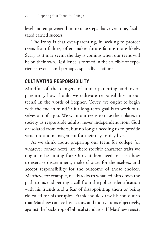level and empowered him to take steps that, over time, facilitated earned success.

The irony is that over-parenting, in seeking to protect teens from failure, often makes future failure more likely. Scary as it may seem, the day is coming when our teens will be on their own. Resilience is formed in the crucible of experience, even—and perhaps especially—failure.

#### **Cultivating Responsibility**

Mindful of the dangers of under-parenting and overparenting, how should we cultivate responsibility in our teens? In the words of Stephen Covey, we ought to begin with the end in mind.<sup>6</sup> Our long-term goal is to work ourselves out of a job. We want our teens to take their places in society as responsible adults, never independent from God or isolated from others, but no longer needing us to provide structure and management for their day-to-day lives.

As we think about preparing our teens for college (or whatever comes next), are there specific character traits we ought to be aiming for? Our children need to learn how to exercise discernment, make choices for themselves, and accept responsibility for the outcome of those choices. Matthew, for example, needs to learn what led him down the path to his dad getting a call from the police: identification with his friends and a fear of disappointing them or being ridiculed for his scruples. Frank should draw his son out so that Matthew can see his actions and motivations objectively, against the backdrop of biblical standards. If Matthew rejects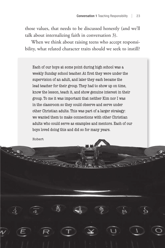those values, that needs to be discussed honestly (and we'll talk about internalizing faith in conversation 3).

When we think about raising teens who accept responsibility, what related character traits should we seek to instill?

Each of our boys at some point during high school was a weekly Sunday school teacher. At first they were under the supervision of an adult, and later they each became the lead teacher for their group. They had to show up on time, know the lesson, teach it, and show genuine interest in their group. To me it was important that neither Kim nor I was in the classroom so they could observe and serve under other Christian adults. This was part of a larger strategy: we wanted them to make connections with other Christian adults who could serve as examples and mentors. Each of our boys loved doing this and did so for many years.

Robert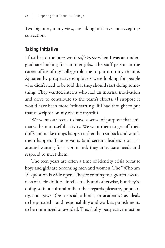Two big ones, in my view, are taking initiative and accepting correction.

#### **Taking Initiative**

I first heard the buzz word *self-starter* when I was an undergraduate looking for summer jobs. The staff person in the career office of my college told me to put it on my résumé. Apparently, prospective employers were looking for people who didn't need to be told that they should start doing something. They wanted interns who had an internal motivation and drive to contribute to the team's efforts. (I suppose it would have been more "self-starting" if I had thought to put that descriptor on my résumé myself.)

We want our teens to have a sense of purpose that animates them to useful activity. We want them to get off their duffs and make things happen rather than sit back and watch them happen. True servants (and servant- leaders) don't sit around waiting for a command; they anticipate needs and respond to meet them.

The teen years are often a time of identity crisis because boys and girls are becoming men and women. The "Who am I?" question is wide open. They're coming to a greater awareness of their abilities, intellectually and otherwise, but they're doing so in a cultural milieu that regards pleasure, popularity, and power (be it social, athletic, or academic) as ideals to be pursued—and responsibility and work as punishments to be minimized or avoided. This faulty perspective must be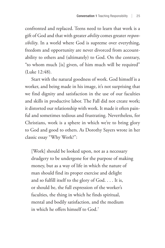confronted and replaced. Teens need to learn that work is a gift of God and that with greater *ability* comes greater *responsibility*. In a world where God is supreme over everything, freedom and opportunity are never divorced from accountability to others and (ultimately) to God. On the contrary, "to whom much [is] given, of him much will be required" (Luke 12:48).

Start with the natural goodness of work. God himself is a worker, and being made in his image, it's not surprising that we find dignity and satisfaction in the use of our faculties and skills in productive labor. The Fall did not create work; it distorted our relationship with work. It made it often painful and sometimes tedious and frustrating. Nevertheless, for Christians, work is a sphere in which we're to bring glory to God and good to others. As Dorothy Sayers wrote in her classic essay "Why Work?":

[Work] should be looked upon, not as a necessary drudgery to be undergone for the purpose of making money, but as a way of life in which the nature of man should find its proper exercise and delight and so fulfill itself to the glory of God. . . . It is, or should be, the full expression of the worker's faculties, the thing in which he finds spiritual, mental and bodily satisfaction, and the medium in which he offers himself to God.7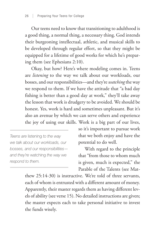Our teens need to know that transitioning to adulthood is a good thing, a normal thing, a necessary thing. God intends their burgeoning intellectual, athletic, and musical skills to be developed through regular effort, so that they might be equipped for a lifetime of good works for which he's preparing them (see Ephesians 2:10).

Okay, but how? Here's where modeling comes in. Teens are *listening* to the way we talk about our workloads, our bosses, and our responsibilities—and they're *watching* the way we respond to them. If we have the attitude that "a bad day fishing is better than a good day at work," they'll take away the lesson that work is drudgery to be avoided. We should be honest. Yes, work is hard and sometimes unpleasant. But it's also an avenue by which we can serve others and experience the joy of using our skills. Work is a big part of our lives,

*Teens are* listening *to the way we talk about our workloads, our bosses, and our responsibilities and they're* watching *the way we respond to them.*

so it's important to pursue work that we both enjoy and have the potential to do well.

With regard to the principle that "from those to whom much is given, much is expected," the Parable of the Talents (see Mat-

thew 25:14-30) is instructive. We're told of three servants, each of whom is entrusted with a different amount of money. Apparently, their master regards them as having different levels of ability (see verse 15). No detailed instructions are given; the master expects each to take personal initiative to invest the funds wisely.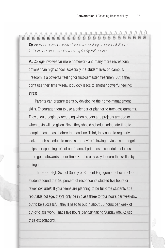$a, a, a, a, a, a, a, a, a, a, a, a$ **Q:** *How can we prepare teens for college responsibilities? Is there an area where they typically fall short?*

**A:** College involves far more homework and many more recreational options than high school, especially if a student lives on campus. Freedom is a powerful feeling for first-semester freshmen. But if they don't use their time wisely, it quickly leads to another powerful feeling: stress!

Parents can prepare teens by developing their time-management skills. Encourage them to use a calendar or planner to track assignments. They should begin by recording when papers and projects are due or when tests will be given. Next, they should schedule adequate time to complete each task before the deadline. Third, they need to regularly look at their schedule to make sure they're following it. Just as a budget helps our spending reflect our financial priorities, a schedule helps us to be good stewards of our time. But the only way to learn this skill is by doing it.

The 2006 High School Survey of Student Engagement of over 81,000 students found that 90 percent of respondents studied five hours or fewer *per week*. If your teens are planning to be full-time students at a reputable college, they'll only be in class three to four hours per weekday, but to be successful, they'll need to put in about 30 hours per week of out-of-class work. That's five hours *per day* (taking Sunday off). Adjust their expectations.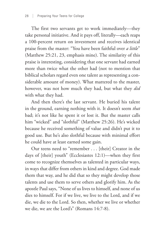The first two servants get to work immediately— they take personal initiative. And it pays off, literally—each reaps a 100-percent return on investment and receives identical praise from the master: "You have been faithful over *a little*" (Matthew 25:21, 23, emphasis mine). The similarity of this praise is interesting, considering that one servant had earned more than twice what the other had (not to mention that biblical scholars regard even one talent as representing a considerable amount of money). What mattered to the master, however, was not how much they had, but what they *did* with what they had.

And then there's the last servant. He buried his talent in the ground, earning nothing with it. It doesn't seem *that* bad; it's not like he spent it or lost it. But the master calls him "wicked" and "slothful" (Matthew 25:26). He's wicked because he received something of value and didn't put it to good use. But he's also slothful because with minimal effort he could have at least earned some gain.

Our teens need to "remember . . . [their] Creator in the days of [their] youth" (Ecclesiastes 12:1)— when they first come to recognize themselves as talented in particular ways, in ways that differ from others in kind and degree. God made them that way, and he did that so they might develop those talents and use them to serve others and glorify him. As the apostle Paul says, "None of us lives to himself, and none of us dies to himself. For if we live, we live to the Lord, and if we die, we die to the Lord. So then, whether we live or whether we die, we are the Lord's" (Romans 14:7-8).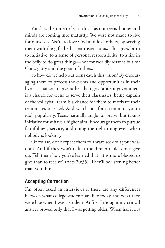Youth is the time to learn this—as our teens' bodies and minds are coming into maturity. We were not made to live for ourselves. We're to love God and love others, by serving them with the gifts he has entrusted to us. This gives birth to initiative, to a sense of personal responsibility, to a fire in the belly to do great things—not for worldly reasons but for God's glory and the good of others.

So how do we help our teens catch this vision? By encouraging them to process the events and opportunities in their lives as chances to give rather than get. Student government is a chance for teens to serve their classmates; being captain of the volleyball team is a chance for them to motivate their teammates to excel. And watch out for a common youth idol: popularity. Teens naturally angle for praise, but taking initiative must have a higher aim. Encourage them to pursue faithfulness, service, and doing the right thing even when nobody is looking.

Of course, don't expect them to always seek out your wisdom. And if they won't talk at the dinner table, don't give up. Tell them how you've learned that "it is more blessed to give than to receive" (Acts 20:35). They'll be listening better than you think.

#### **Accepting Correction**

I'm often asked in interviews if there are any differences between what college students are like today and what they were like when I was a student. At first I thought my critical answer proved only that I was getting older. When has it *not*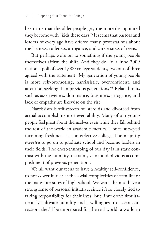been true that the older people get, the more disappointed they become with "kids these days"? It seems that pastors and leaders of every age have offered many protestations about the laziness, rudeness, arrogance, and carelessness of teens.

But perhaps we're on to something if the young people themselves affirm the shift. And they do. In a June 2009 national poll of over 1,000 college students, two out of three agreed with the statement "My generation of young people is more self-promoting, narcissistic, overconfident, and attention-seeking than previous generations."8 Related traits such as assertiveness, dominance, brashness, arrogance, and lack of empathy are likewise on the rise.

Narcissism is self-esteem on steroids and divorced from actual accomplishment or even ability. Many of our young people feel great about themselves even while they fall behind the rest of the world in academic metrics. I once surveyed incoming freshmen at a nonselective college. The majority *expected* to go on to graduate school and become leaders in their fields. The chest-thumping of our day is in stark contrast with the humility, restraint, valor, and obvious accomplishment of previous generations.

We all want our teens to have a healthy self-confidence, to not cower in fear at the social complexities of teen life or the many pressures of high school. We want them to have a strong sense of personal initiative, since it's so closely tied to taking responsibility for their lives. But if we don't simultaneously cultivate humility and a willingness to accept correction, they'll be unprepared for the real world, a world in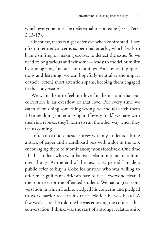which everyone must be deferential to someone (see 1 Peter  $2:13-17$ ).

Of course, teens can get defensive when confronted. They often interpret concerns as personal attacks, which leads to blame shifting or making excuses to deflect the issue. So we need to be gracious and winsome—ready to model humility by apologizing for our shortcomings. And by asking questions and listening, we can hopefully neutralize the impact of their (often) short attention spans, keeping them engaged in the conversation.

We want them to feel our love for them—and that our correction is an overflow of that love. For every time we catch them doing something wrong, we should catch them 10 times doing something right. If every "talk" we have with them is a rebuke, they'll learn to run the other way when they see us coming.

I often do a midsemester survey with my students. I bring a stack of paper and a cardboard box with a slot in the top, encouraging them to submit anonymous feedback. One time I had a student who went ballistic, slamming me for a hundred things. At the end of the next class period I made a public offer to buy a Coke for anyone who was willing to offer me significant criticism face-to-face. Everyone cleared the room except the offended student. We had a great conversation in which I acknowledged his concerns and pledged to work harder to earn his trust. He felt he was heard. A few weeks later he told me he was enjoying the course. That conversation, I think, was the start of a stronger relationship.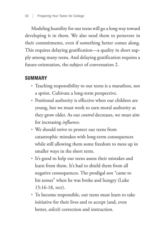Modeling humility for our teens will go a long way toward developing it in them. We also need them to persevere in their commitments, even if something better comes along. This requires delaying gratification—a quality in short supply among many teens. And delaying gratification requires a future-orientation, the subject of conversation 2.

#### **Summary**

- Teaching responsibility to our teens is a marathon, not a sprint. Cultivate a long-term perspective.
- Positional authority is effective when our children are young, but we must work to earn moral authority as they grow older. As our *control* decreases, we must aim for increasing *influence*.
- We should strive to protect our teens from catastrophic mistakes with long-term consequences while still allowing them some freedom to mess up in smaller ways in the short term.
- It's good to help our teens assess their mistakes and learn from them. It's bad to shield them from all negative consequences. The prodigal son "came to his senses" when he was broke and hungry (Luke 15:16-18, NLT).
- To become responsible, our teens must learn to take initiative for their lives and to accept (and, even better, *solicit*) correction and instruction.